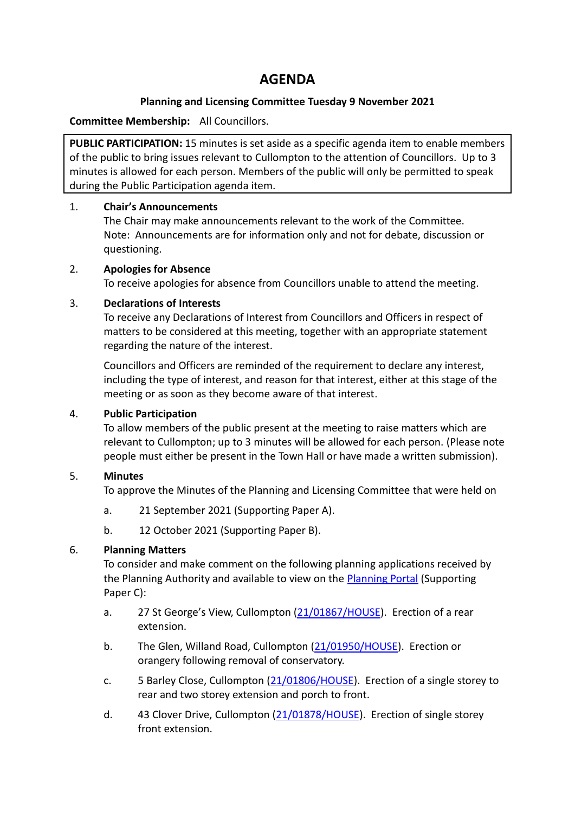# **AGENDA**

#### **Planning and Licensing Committee Tuesday 9 November 2021**

#### **Committee Membership:** All Councillors.

**PUBLIC PARTICIPATION:** 15 minutes is set aside as a specific agenda item to enable members of the public to bring issues relevant to Cullompton to the attention of Councillors. Up to 3 minutes is allowed for each person. Members of the public will only be permitted to speak during the Public Participation agenda item.

#### 1. **Chair's Announcements**

The Chair may make announcements relevant to the work of the Committee. Note: Announcements are for information only and not for debate, discussion or questioning.

### 2. **Apologies for Absence**

To receive apologies for absence from Councillors unable to attend the meeting.

### 3. **Declarations of Interests**

To receive any Declarations of Interest from Councillors and Officers in respect of matters to be considered at this meeting, together with an appropriate statement regarding the nature of the interest.

Councillors and Officers are reminded of the requirement to declare any interest, including the type of interest, and reason for that interest, either at this stage of the meeting or as soon as they become aware of that interest.

## 4. **Public Participation**

To allow members of the public present at the meeting to raise matters which are relevant to Cullompton; up to 3 minutes will be allowed for each person. (Please note people must either be present in the Town Hall or have made a written submission).

## 5. **Minutes**

To approve the Minutes of the Planning and Licensing Committee that were held on

- a. 21 September 2021 (Supporting Paper A).
- b. 12 October 2021 (Supporting Paper B).

## 6. **Planning Matters**

To consider and make comment on the following planning applications received by the Planning Authority and available to view on the [Planning Portal](https://planning.middevon.gov.uk/online-applications/) (Supporting Paper C):

- a. 27 St George's View, Cullompton [\(21/01867/HOUSE\)](https://planning.middevon.gov.uk/online-applications/applicationDetails.do?activeTab=documents&keyVal=R05ID5KS04G00). Erection of a rear extension.
- b. The Glen, Willand Road, Cullompton [\(21/01950/HOUSE\)](https://planning.middevon.gov.uk/online-applications/applicationDetails.do?activeTab=documents&keyVal=R0K5XXKS0I100). Erection or orangery following removal of conservatory.
- c. 5 Barley Close, Cullompton [\(21/01806/HOUSE\)](https://planning.middevon.gov.uk/online-applications/applicationDetails.do?activeTab=documents&keyVal=QZHF6VKS04G00). Erection of a single storey to rear and two storey extension and porch to front.
- d. 43 Clover Drive, Cullompton [\(21/01878/HOUSE\)](https://planning.middevon.gov.uk/online-applications/applicationDetails.do?activeTab=documents&keyVal=R08PJ8KS07T00). Erection of single storey front extension.